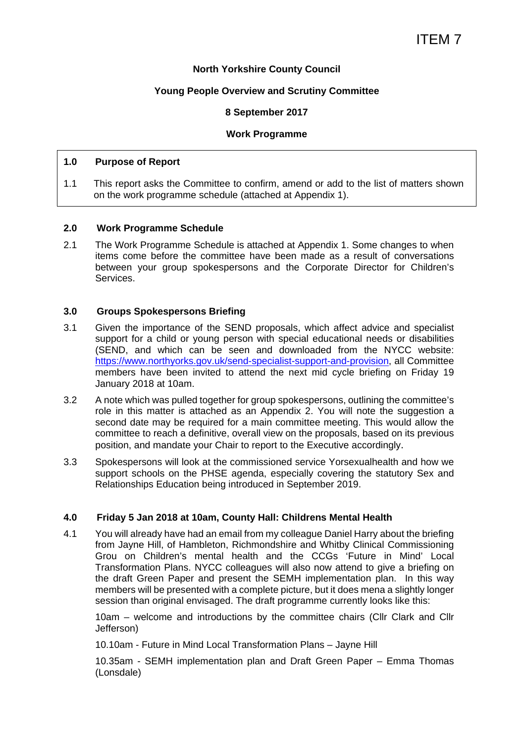#### **North Yorkshire County Council**

#### **Young People Overview and Scrutiny Committee**

#### **8 September 2017**

#### **Work Programme**

#### **1.0 Purpose of Report**

1.1 This report asks the Committee to confirm, amend or add to the list of matters shown on the work programme schedule (attached at Appendix 1).

#### **2.0 Work Programme Schedule**

2.1 The Work Programme Schedule is attached at Appendix 1. Some changes to when items come before the committee have been made as a result of conversations between your group spokespersons and the Corporate Director for Children's Services.

#### **3.0 Groups Spokespersons Briefing**

- 3.1 Given the importance of the SEND proposals, which affect advice and specialist support for a child or young person with special educational needs or disabilities (SEND, and which can be seen and downloaded from the NYCC website: https://www.northyorks.gov.uk/send-specialist-support-and-provision, all Committee members have been invited to attend the next mid cycle briefing on Friday 19 January 2018 at 10am.
- 3.2 A note which was pulled together for group spokespersons, outlining the committee's role in this matter is attached as an Appendix 2. You will note the suggestion a second date may be required for a main committee meeting. This would allow the committee to reach a definitive, overall view on the proposals, based on its previous position, and mandate your Chair to report to the Executive accordingly.
- 3.3 Spokespersons will look at the commissioned service Yorsexualhealth and how we support schools on the PHSE agenda, especially covering the statutory Sex and Relationships Education being introduced in September 2019.

#### **4.0 Friday 5 Jan 2018 at 10am, County Hall: Childrens Mental Health**

4.1 You will already have had an email from my colleague Daniel Harry about the briefing from Jayne Hill, of Hambleton, Richmondshire and Whitby Clinical Commissioning Grou on Children's mental health and the CCGs 'Future in Mind' Local Transformation Plans. NYCC colleagues will also now attend to give a briefing on the draft Green Paper and present the SEMH implementation plan. In this way members will be presented with a complete picture, but it does mena a slightly longer session than original envisaged. The draft programme currently looks like this:

10am – welcome and introductions by the committee chairs (Cllr Clark and Cllr Jefferson)

10.10am - Future in Mind Local Transformation Plans – Jayne Hill

10.35am - SEMH implementation plan and Draft Green Paper – Emma Thomas (Lonsdale)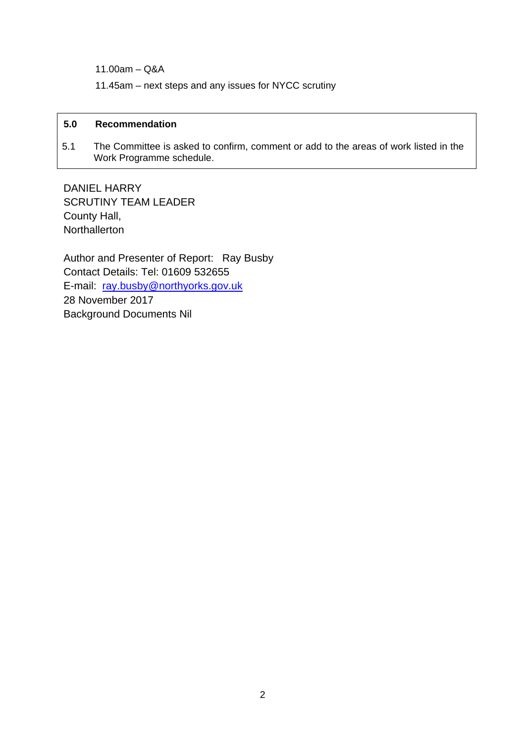11.00am – Q&A

11.45am – next steps and any issues for NYCC scrutiny

#### **5.0 Recommendation**

5.1 The Committee is asked to confirm, comment or add to the areas of work listed in the Work Programme schedule.

DANIEL HARRY SCRUTINY TEAM LEADER County Hall, **Northallerton** 

Author and Presenter of Report: Ray Busby Contact Details: Tel: 01609 532655 E-mail: ray.busby@northyorks.gov.uk 28 November 2017 Background Documents Nil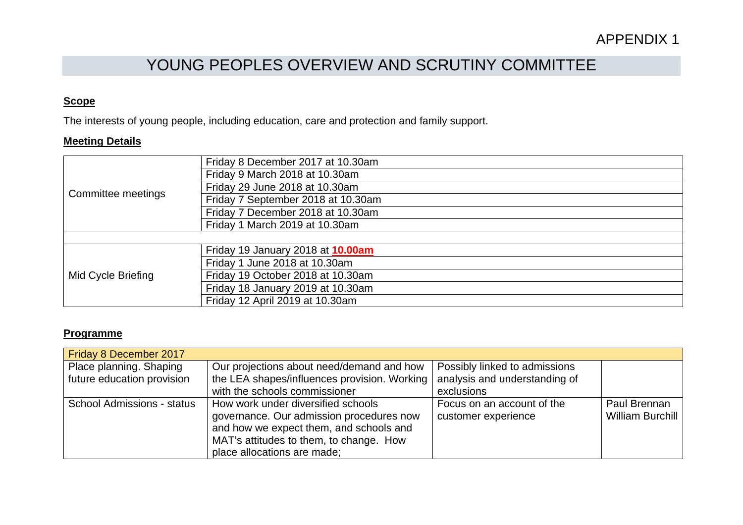# YOUNG PEOPLES OVERVIEW AND SCRUTINY COMMITTEE

#### **Scope**

The interests of young people, including education, care and protection and family support.

#### **Meeting Details**

| Committee meetings | Friday 8 December 2017 at 10.30am  |
|--------------------|------------------------------------|
|                    | Friday 9 March 2018 at 10.30am     |
|                    | Friday 29 June 2018 at 10.30am     |
|                    | Friday 7 September 2018 at 10.30am |
|                    | Friday 7 December 2018 at 10.30am  |
|                    | Friday 1 March 2019 at 10.30am     |
|                    |                                    |
| Mid Cycle Briefing | Friday 19 January 2018 at 10.00am  |
|                    | Friday 1 June 2018 at 10.30am      |
|                    | Friday 19 October 2018 at 10.30am  |
|                    | Friday 18 January 2019 at 10.30am  |
|                    | Friday 12 April 2019 at 10.30am    |

#### **Programme**

| Friday 8 December 2017            |                                              |                               |                  |
|-----------------------------------|----------------------------------------------|-------------------------------|------------------|
| Place planning. Shaping           | Our projections about need/demand and how    | Possibly linked to admissions |                  |
| future education provision        | the LEA shapes/influences provision. Working | analysis and understanding of |                  |
|                                   | with the schools commissioner                | exclusions                    |                  |
| <b>School Admissions - status</b> | How work under diversified schools           | Focus on an account of the    | Paul Brennan     |
|                                   | governance. Our admission procedures now     | customer experience           | William Burchill |
|                                   | and how we expect them, and schools and      |                               |                  |
|                                   | MAT's attitudes to them, to change. How      |                               |                  |
|                                   | place allocations are made;                  |                               |                  |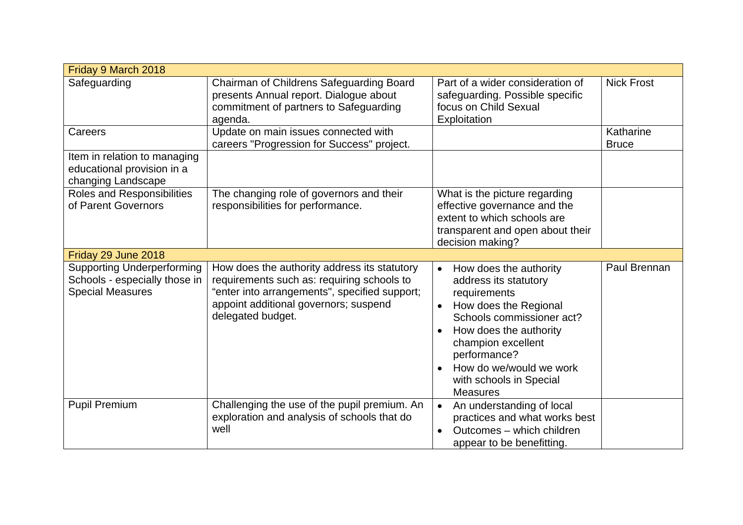| Friday 9 March 2018                                                                           |                                                                                                                                                                                                           |                                                                                                                                                                                                                                                                                          |                           |
|-----------------------------------------------------------------------------------------------|-----------------------------------------------------------------------------------------------------------------------------------------------------------------------------------------------------------|------------------------------------------------------------------------------------------------------------------------------------------------------------------------------------------------------------------------------------------------------------------------------------------|---------------------------|
| Safeguarding                                                                                  | Chairman of Childrens Safeguarding Board<br>presents Annual report. Dialogue about<br>commitment of partners to Safeguarding<br>agenda.                                                                   | Part of a wider consideration of<br>safeguarding. Possible specific<br>focus on Child Sexual<br>Exploitation                                                                                                                                                                             | <b>Nick Frost</b>         |
| Careers                                                                                       | Update on main issues connected with<br>careers "Progression for Success" project.                                                                                                                        |                                                                                                                                                                                                                                                                                          | Katharine<br><b>Bruce</b> |
| Item in relation to managing<br>educational provision in a<br>changing Landscape              |                                                                                                                                                                                                           |                                                                                                                                                                                                                                                                                          |                           |
| Roles and Responsibilities<br>of Parent Governors                                             | The changing role of governors and their<br>responsibilities for performance.                                                                                                                             | What is the picture regarding<br>effective governance and the<br>extent to which schools are<br>transparent and open about their<br>decision making?                                                                                                                                     |                           |
| Friday 29 June 2018                                                                           |                                                                                                                                                                                                           |                                                                                                                                                                                                                                                                                          |                           |
| <b>Supporting Underperforming</b><br>Schools - especially those in<br><b>Special Measures</b> | How does the authority address its statutory<br>requirements such as: requiring schools to<br>"enter into arrangements", specified support;<br>appoint additional governors; suspend<br>delegated budget. | How does the authority<br>$\bullet$<br>address its statutory<br>requirements<br>How does the Regional<br>Schools commissioner act?<br>How does the authority<br>$\bullet$<br>champion excellent<br>performance?<br>How do we/would we work<br>with schools in Special<br><b>Measures</b> | Paul Brennan              |
| <b>Pupil Premium</b>                                                                          | Challenging the use of the pupil premium. An<br>exploration and analysis of schools that do<br>well                                                                                                       | An understanding of local<br>$\bullet$<br>practices and what works best<br>Outcomes - which children<br>$\bullet$<br>appear to be benefitting.                                                                                                                                           |                           |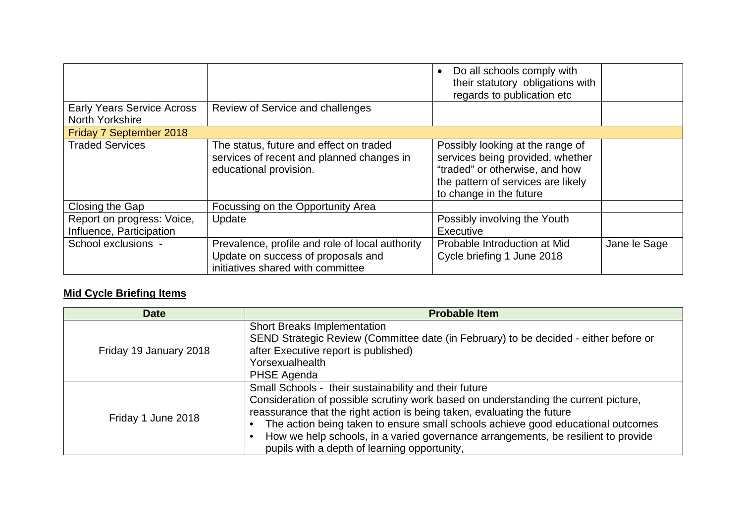|                                                        |                                                                                                                            | Do all schools comply with<br>$\bullet$<br>their statutory obligations with<br>regards to publication etc                                                               |              |
|--------------------------------------------------------|----------------------------------------------------------------------------------------------------------------------------|-------------------------------------------------------------------------------------------------------------------------------------------------------------------------|--------------|
| <b>Early Years Service Across</b><br>North Yorkshire   | Review of Service and challenges                                                                                           |                                                                                                                                                                         |              |
| Friday 7 September 2018                                |                                                                                                                            |                                                                                                                                                                         |              |
| <b>Traded Services</b>                                 | The status, future and effect on traded<br>services of recent and planned changes in<br>educational provision.             | Possibly looking at the range of<br>services being provided, whether<br>"traded" or otherwise, and how<br>the pattern of services are likely<br>to change in the future |              |
| Closing the Gap                                        | Focussing on the Opportunity Area                                                                                          |                                                                                                                                                                         |              |
| Report on progress: Voice,<br>Influence, Participation | Update                                                                                                                     | Possibly involving the Youth<br>Executive                                                                                                                               |              |
| School exclusions -                                    | Prevalence, profile and role of local authority<br>Update on success of proposals and<br>initiatives shared with committee | Probable Introduction at Mid<br>Cycle briefing 1 June 2018                                                                                                              | Jane le Sage |

# **Mid Cycle Briefing Items**

| <b>Date</b>            | <b>Probable Item</b>                                                                                                                                                                                                                                                                                                                                                                                                                             |
|------------------------|--------------------------------------------------------------------------------------------------------------------------------------------------------------------------------------------------------------------------------------------------------------------------------------------------------------------------------------------------------------------------------------------------------------------------------------------------|
| Friday 19 January 2018 | <b>Short Breaks Implementation</b><br>SEND Strategic Review (Committee date (in February) to be decided - either before or<br>after Executive report is published)<br>Yorsexualhealth<br>PHSE Agenda                                                                                                                                                                                                                                             |
| Friday 1 June 2018     | Small Schools - their sustainability and their future<br>Consideration of possible scrutiny work based on understanding the current picture,<br>reassurance that the right action is being taken, evaluating the future<br>The action being taken to ensure small schools achieve good educational outcomes<br>How we help schools, in a varied governance arrangements, be resilient to provide<br>pupils with a depth of learning opportunity, |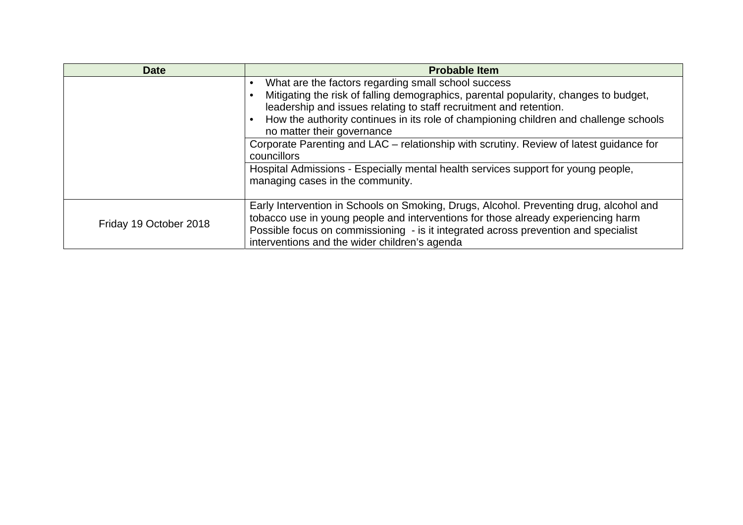| <b>Date</b>            | <b>Probable Item</b>                                                                                                                                                                                                                                                                                                                                                                                                                                                                                                                                                        |  |
|------------------------|-----------------------------------------------------------------------------------------------------------------------------------------------------------------------------------------------------------------------------------------------------------------------------------------------------------------------------------------------------------------------------------------------------------------------------------------------------------------------------------------------------------------------------------------------------------------------------|--|
|                        | What are the factors regarding small school success<br>Mitigating the risk of falling demographics, parental popularity, changes to budget,<br>leadership and issues relating to staff recruitment and retention.<br>How the authority continues in its role of championing children and challenge schools<br>no matter their governance<br>Corporate Parenting and LAC – relationship with scrutiny. Review of latest guidance for<br>councillors<br>Hospital Admissions - Especially mental health services support for young people,<br>managing cases in the community. |  |
| Friday 19 October 2018 | Early Intervention in Schools on Smoking, Drugs, Alcohol. Preventing drug, alcohol and<br>tobacco use in young people and interventions for those already experiencing harm<br>Possible focus on commissioning - is it integrated across prevention and specialist<br>interventions and the wider children's agenda                                                                                                                                                                                                                                                         |  |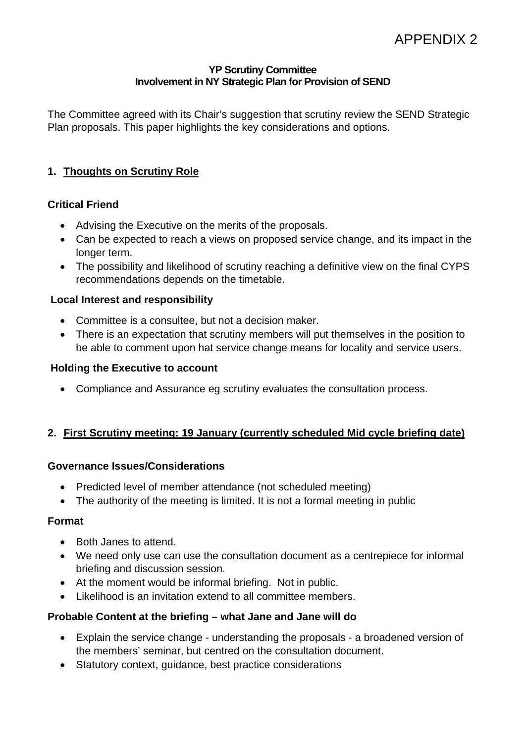#### **YP Scrutiny Committee Involvement in NY Strategic Plan for Provision of SEND**

The Committee agreed with its Chair's suggestion that scrutiny review the SEND Strategic Plan proposals. This paper highlights the key considerations and options.

# **1. Thoughts on Scrutiny Role**

# **Critical Friend**

- Advising the Executive on the merits of the proposals.
- Can be expected to reach a views on proposed service change, and its impact in the longer term.
- The possibility and likelihood of scrutiny reaching a definitive view on the final CYPS recommendations depends on the timetable.

# **Local Interest and responsibility**

- Committee is a consultee, but not a decision maker.
- There is an expectation that scrutiny members will put themselves in the position to be able to comment upon hat service change means for locality and service users.

#### **Holding the Executive to account**

Compliance and Assurance eg scrutiny evaluates the consultation process.

# **2. First Scrutiny meeting: 19 January (currently scheduled Mid cycle briefing date)**

# **Governance Issues/Considerations**

- Predicted level of member attendance (not scheduled meeting)
- The authority of the meeting is limited. It is not a formal meeting in public

# **Format**

- Both Janes to attend.
- We need only use can use the consultation document as a centrepiece for informal briefing and discussion session.
- At the moment would be informal briefing. Not in public.
- Likelihood is an invitation extend to all committee members.

# **Probable Content at the briefing – what Jane and Jane will do**

- Explain the service change understanding the proposals a broadened version of the members' seminar, but centred on the consultation document.
- Statutory context, guidance, best practice considerations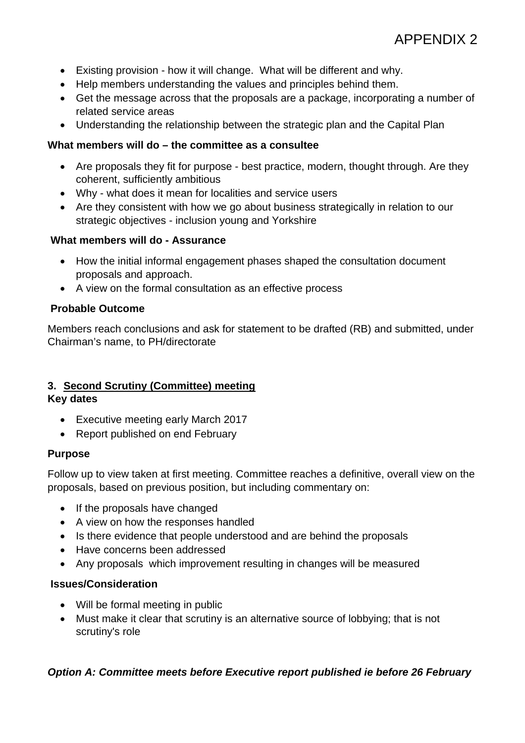- Existing provision how it will change. What will be different and why.
- Help members understanding the values and principles behind them.
- Get the message across that the proposals are a package, incorporating a number of related service areas
- Understanding the relationship between the strategic plan and the Capital Plan

# **What members will do – the committee as a consultee**

- Are proposals they fit for purpose best practice, modern, thought through. Are they coherent, sufficiently ambitious
- Why what does it mean for localities and service users
- Are they consistent with how we go about business strategically in relation to our strategic objectives - inclusion young and Yorkshire

# **What members will do - Assurance**

- How the initial informal engagement phases shaped the consultation document proposals and approach.
- A view on the formal consultation as an effective process

# **Probable Outcome**

Members reach conclusions and ask for statement to be drafted (RB) and submitted, under Chairman's name, to PH/directorate

# **3. Second Scrutiny (Committee) meeting**

# **Key dates**

- Executive meeting early March 2017
- Report published on end February

# **Purpose**

Follow up to view taken at first meeting. Committee reaches a definitive, overall view on the proposals, based on previous position, but including commentary on:

- If the proposals have changed
- A view on how the responses handled
- Is there evidence that people understood and are behind the proposals
- Have concerns been addressed
- Any proposals which improvement resulting in changes will be measured

# **Issues/Consideration**

- Will be formal meeting in public
- Must make it clear that scrutiny is an alternative source of lobbying; that is not scrutiny's role

# *Option A: Committee meets before Executive report published ie before 26 February*